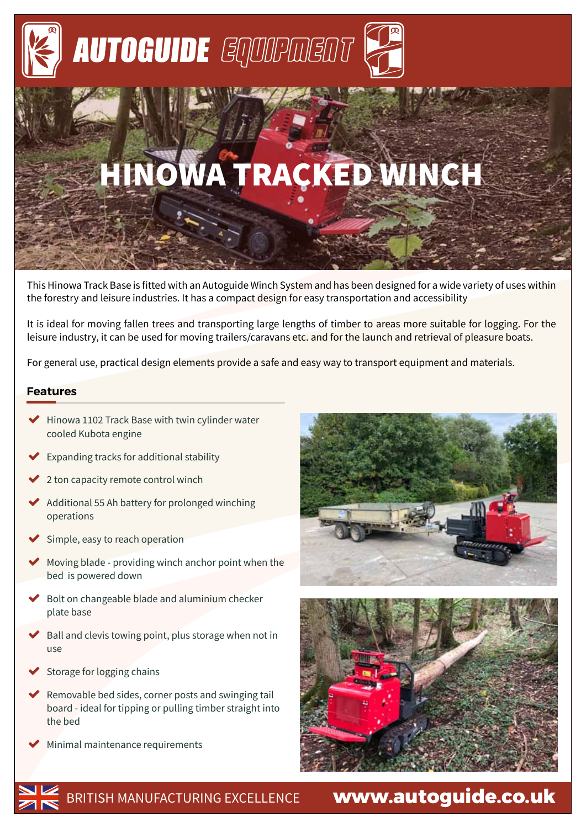

# HINOWA TRACKED WINCH

This Hinowa Track Base is fitted with an Autoguide Winch System and has been designed for a wide variety of uses within the forestry and leisure industries. It has a compact design for easy transportation and accessibility

It is ideal for moving fallen trees and transporting large lengths of timber to areas more suitable for logging. For the leisure industry, it can be used for moving trailers/caravans etc. and for the launch and retrieval of pleasure boats.

For general use, practical design elements provide a safe and easy way to transport equipment and materials.

#### **Features**

- ◆ Hinowa 1102 Track Base with twin cylinder water cooled Kubota engine
- Expanding tracks for additional stability
- 2 ton capacity remote control winch
- � Additional 55 Ah battery for prolonged winching operations
- Simple, easy to reach operation
- Moving blade providing winch anchor point when the bed is powered down
- � Bolt on changeable blade and aluminium checker plate base
- � Ball and clevis towing point, plus storage when not in use
- Storage for logging chains
- � Removable bed sides, corner posts and swinging tail board - ideal for tipping or pulling timber straight into the bed
- Minimal maintenance requirements







BRITISH MANUFACTURING EXCELLENCE

## **www.autoguide.co.uk**